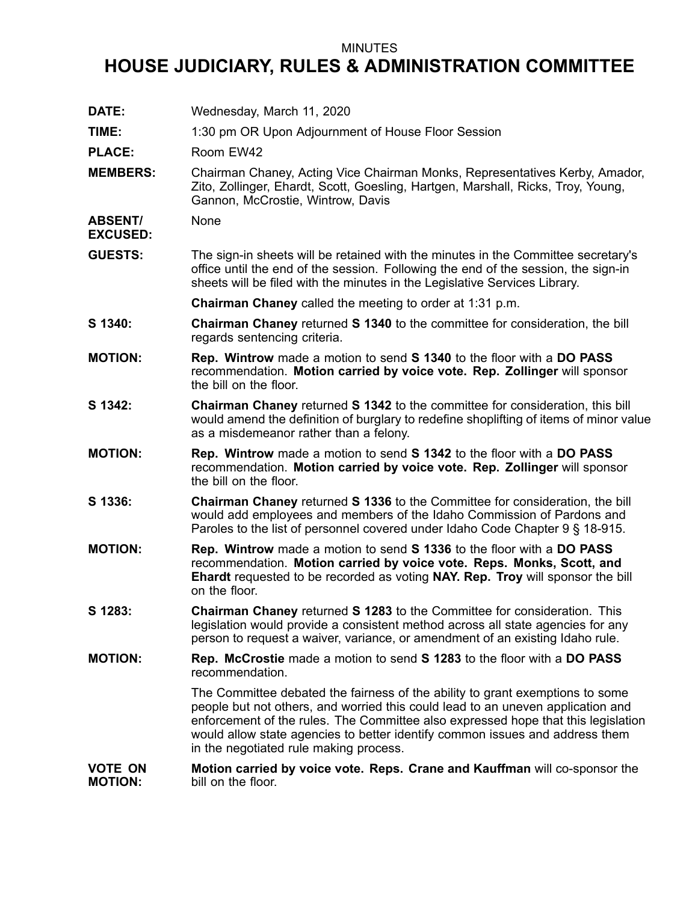## MINUTES

## **HOUSE JUDICIARY, RULES & ADMINISTRATION COMMITTEE**

**DATE:** Wednesday, March 11, 2020 **TIME:** 1:30 pm OR Upon Adjournment of House Floor Session PLACE: Room EW42 **MEMBERS:** Chairman Chaney, Acting Vice Chairman Monks, Representatives Kerby, Amador, Zito, Zollinger, Ehardt, Scott, Goesling, Hartgen, Marshall, Ricks, Troy, Young, Gannon, McCrostie, Wintrow, Davis **ABSENT/ EXCUSED:** None **GUESTS:** The sign-in sheets will be retained with the minutes in the Committee secretary's office until the end of the session. Following the end of the session, the sign-in sheets will be filed with the minutes in the Legislative Services Library. **Chairman Chaney** called the meeting to order at 1:31 p.m. **S 1340: Chairman Chaney** returned **S 1340** to the committee for consideration, the bill regards sentencing criteria. **MOTION: Rep. Wintrow** made <sup>a</sup> motion to send **S 1340** to the floor with <sup>a</sup> **DO PASS** recommendation. **Motion carried by voice vote. Rep. Zollinger** will sponsor the bill on the floor. **S 1342: Chairman Chaney** returned **S 1342** to the committee for consideration, this bill would amend the definition of burglary to redefine shoplifting of items of minor value as <sup>a</sup> misdemeanor rather than <sup>a</sup> felony. **MOTION: Rep. Wintrow** made <sup>a</sup> motion to send **S 1342** to the floor with <sup>a</sup> **DO PASS** recommendation. **Motion carried by voice vote. Rep. Zollinger** will sponsor the bill on the floor. **S 1336: Chairman Chaney** returned **S 1336** to the Committee for consideration, the bill would add employees and members of the Idaho Commission of Pardons and Paroles to the list of personnel covered under Idaho Code Chapter 9 § 18-915. **MOTION: Rep. Wintrow** made <sup>a</sup> motion to send **S 1336** to the floor with <sup>a</sup> **DO PASS** recommendation. **Motion carried by voice vote. Reps. Monks, Scott, and Ehardt** requested to be recorded as voting **NAY. Rep. Troy** will sponsor the bill on the floor. **S 1283: Chairman Chaney** returned **S 1283** to the Committee for consideration. This legislation would provide <sup>a</sup> consistent method across all state agencies for any person to request <sup>a</sup> waiver, variance, or amendment of an existing Idaho rule. **MOTION: Rep. McCrostie** made <sup>a</sup> motion to send **S 1283** to the floor with <sup>a</sup> **DO PASS** recommendation. The Committee debated the fairness of the ability to grant exemptions to some people but not others, and worried this could lead to an uneven application and enforcement of the rules. The Committee also expressed hope that this legislation would allow state agencies to better identify common issues and address them in the negotiated rule making process. **VOTE ON MOTION: Motion carried by voice vote. Reps. Crane and Kauffman** will co-sponsor the bill on the floor.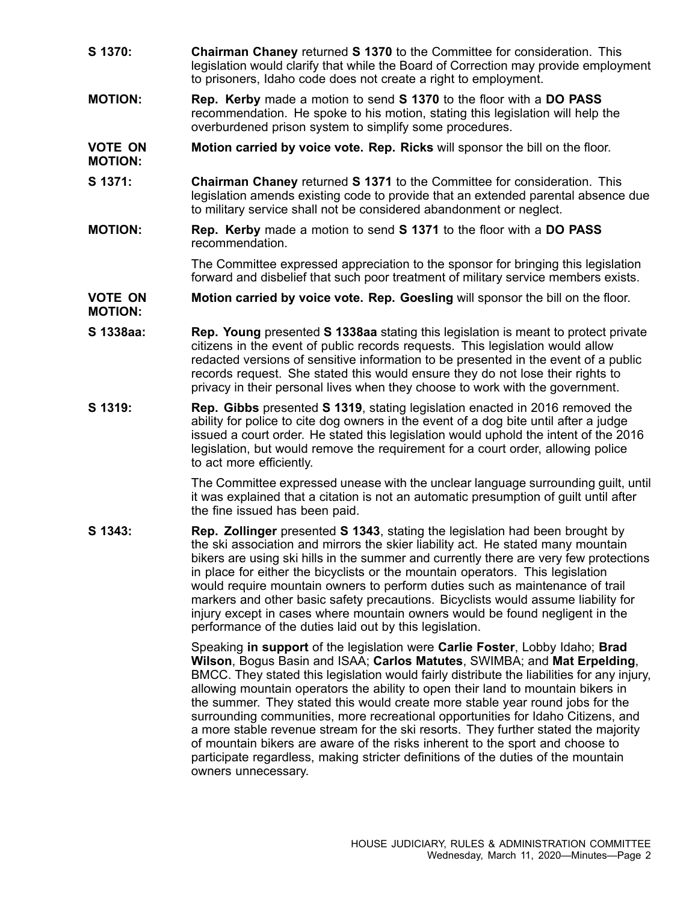- **S 1370: Chairman Chaney** returned **S 1370** to the Committee for consideration. This legislation would clarify that while the Board of Correction may provide employment to prisoners, Idaho code does not create <sup>a</sup> right to employment.
- **MOTION: Rep. Kerby** made <sup>a</sup> motion to send **S 1370** to the floor with <sup>a</sup> **DO PASS** recommendation. He spoke to his motion, stating this legislation will help the overburdened prison system to simplify some procedures.

## **VOTE ON MOTION: Motion carried by voice vote. Rep. Ricks** will sponsor the bill on the floor.

- **S 1371: Chairman Chaney** returned **S 1371** to the Committee for consideration. This legislation amends existing code to provide that an extended parental absence due to military service shall not be considered abandonment or neglect.
- **MOTION: Rep. Kerby** made <sup>a</sup> motion to send **S 1371** to the floor with <sup>a</sup> **DO PASS** recommendation.

The Committee expressed appreciation to the sponsor for bringing this legislation forward and disbelief that such poor treatment of military service members exists.

## **VOTE ON MOTION: Motion carried by voice vote. Rep. Goesling** will sponsor the bill on the floor.

- **S 1338aa: Rep. Young** presented **S 1338aa** stating this legislation is meant to protect private citizens in the event of public records requests. This legislation would allow redacted versions of sensitive information to be presented in the event of <sup>a</sup> public records request. She stated this would ensure they do not lose their rights to privacy in their personal lives when they choose to work with the government.
- **S 1319: Rep. Gibbs** presented **S 1319**, stating legislation enacted in 2016 removed the ability for police to cite dog owners in the event of <sup>a</sup> dog bite until after <sup>a</sup> judge issued <sup>a</sup> court order. He stated this legislation would uphold the intent of the 2016 legislation, but would remove the requirement for <sup>a</sup> court order, allowing police to act more efficiently.

The Committee expressed unease with the unclear language surrounding guilt, until it was explained that <sup>a</sup> citation is not an automatic presumption of guilt until after the fine issued has been paid.

**S 1343: Rep. Zollinger** presented **S 1343**, stating the legislation had been brought by the ski association and mirrors the skier liability act. He stated many mountain bikers are using ski hills in the summer and currently there are very few protections in place for either the bicyclists or the mountain operators. This legislation would require mountain owners to perform duties such as maintenance of trail markers and other basic safety precautions. Bicyclists would assume liability for injury except in cases where mountain owners would be found negligent in the performance of the duties laid out by this legislation.

> Speaking **in support** of the legislation were **Carlie Foster**, Lobby Idaho; **Brad Wilson**, Bogus Basin and ISAA; **Carlos Matutes**, SWIMBA; and **Mat Erpelding**, BMCC. They stated this legislation would fairly distribute the liabilities for any injury, allowing mountain operators the ability to open their land to mountain bikers in the summer. They stated this would create more stable year round jobs for the surrounding communities, more recreational opportunities for Idaho Citizens, and <sup>a</sup> more stable revenue stream for the ski resorts. They further stated the majority of mountain bikers are aware of the risks inherent to the sport and choose to participate regardless, making stricter definitions of the duties of the mountain owners unnecessary.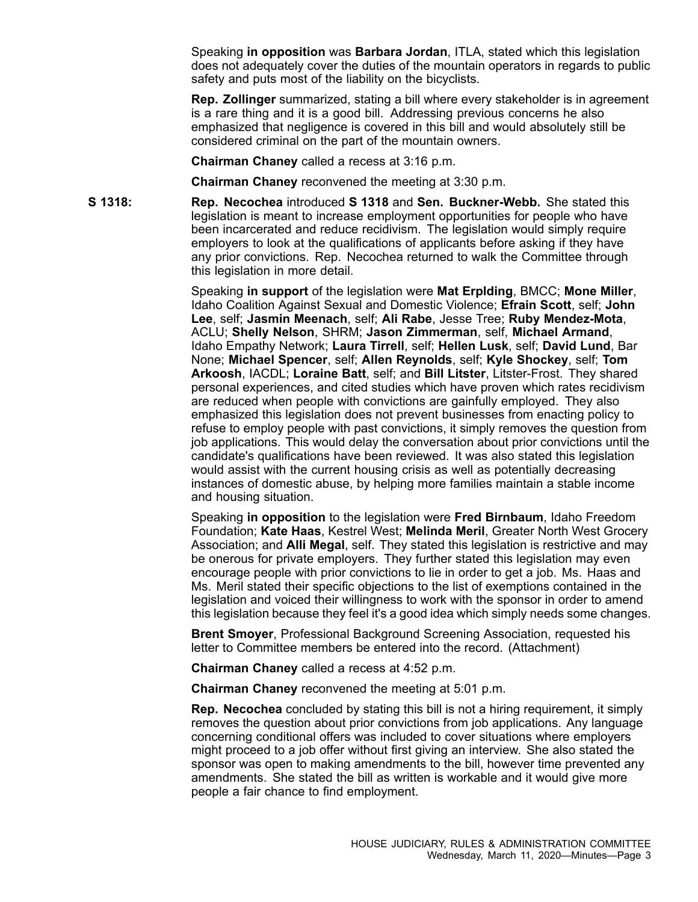Speaking **in opposition** was **Barbara Jordan**, ITLA, stated which this legislation does not adequately cover the duties of the mountain operators in regards to public safety and puts most of the liability on the bicyclists.

**Rep. Zollinger** summarized, stating <sup>a</sup> bill where every stakeholder is in agreement is <sup>a</sup> rare thing and it is <sup>a</sup> good bill. Addressing previous concerns he also emphasized that negligence is covered in this bill and would absolutely still be considered criminal on the part of the mountain owners.

**Chairman Chaney** called <sup>a</sup> recess at 3:16 p.m.

**Chairman Chaney** reconvened the meeting at 3:30 p.m.

**S 1318: Rep. Necochea** introduced **S 1318** and **Sen. Buckner-Webb.** She stated this legislation is meant to increase employment opportunities for people who have been incarcerated and reduce recidivism. The legislation would simply require employers to look at the qualifications of applicants before asking if they have any prior convictions. Rep. Necochea returned to walk the Committee through this legislation in more detail.

> Speaking **in support** of the legislation were **Mat Erplding**, BMCC; **Mone Miller**, Idaho Coalition Against Sexual and Domestic Violence; **Efrain Scott**, self; **John Lee**, self; **Jasmin Meenach**, self; **Ali Rabe**, Jesse Tree; **Ruby Mendez-Mota**, ACLU; **Shelly Nelson**, SHRM; **Jason Zimmerman**, self, **Michael Armand**, Idaho Empathy Network; **Laura Tirrell**, self; **Hellen Lusk**, self; **David Lund**, Bar None; **Michael Spencer**, self; **Allen Reynolds**, self; **Kyle Shockey**, self; **Tom Arkoosh**, IACDL; **Loraine Batt**, self; and **Bill Litster**, Litster-Frost. They shared personal experiences, and cited studies which have proven which rates recidivism are reduced when people with convictions are gainfully employed. They also emphasized this legislation does not prevent businesses from enacting policy to refuse to employ people with past convictions, it simply removes the question from job applications. This would delay the conversation about prior convictions until the candidate's qualifications have been reviewed. It was also stated this legislation would assist with the current housing crisis as well as potentially decreasing instances of domestic abuse, by helping more families maintain <sup>a</sup> stable income and housing situation.

> Speaking **in opposition** to the legislation were **Fred Birnbaum**, Idaho Freedom Foundation; **Kate Haas**, Kestrel West; **Melinda Meril**, Greater North West Grocery Association; and **Alli Megal**, self. They stated this legislation is restrictive and may be onerous for private employers. They further stated this legislation may even encourage people with prior convictions to lie in order to get <sup>a</sup> job. Ms. Haas and Ms. Meril stated their specific objections to the list of exemptions contained in the legislation and voiced their willingness to work with the sponsor in order to amend this legislation because they feel it's <sup>a</sup> good idea which simply needs some changes.

**Brent Smoyer**, Professional Background Screening Association, requested his letter to Committee members be entered into the record. (Attachment)

**Chairman Chaney** called <sup>a</sup> recess at 4:52 p.m.

**Chairman Chaney** reconvened the meeting at 5:01 p.m.

**Rep. Necochea** concluded by stating this bill is not <sup>a</sup> hiring requirement, it simply removes the question about prior convictions from job applications. Any language concerning conditional offers was included to cover situations where employers might proceed to <sup>a</sup> job offer without first giving an interview. She also stated the sponsor was open to making amendments to the bill, however time prevented any amendments. She stated the bill as written is workable and it would give more people <sup>a</sup> fair chance to find employment.